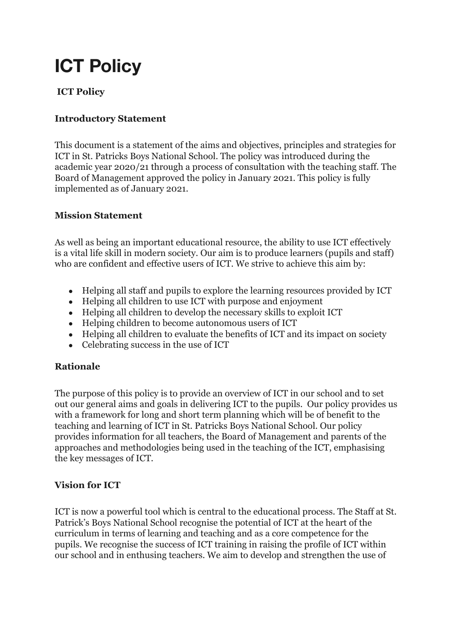# **ICT Policy**

## **ICT Policy**

### **Introductory Statement**

This document is a statement of the aims and objectives, principles and strategies for ICT in St. Patricks Boys National School. The policy was introduced during the academic year 2020/21 through a process of consultation with the teaching staff. The Board of Management approved the policy in January 2021. This policy is fully implemented as of January 2021.

#### **Mission Statement**

As well as being an important educational resource, the ability to use ICT effectively is a vital life skill in modern society. Our aim is to produce learners (pupils and staff) who are confident and effective users of ICT. We strive to achieve this aim by:

- Helping all staff and pupils to explore the learning resources provided by ICT
- Helping all children to use ICT with purpose and enjoyment
- Helping all children to develop the necessary skills to exploit ICT
- Helping children to become autonomous users of ICT
- Helping all children to evaluate the benefits of ICT and its impact on society
- Celebrating success in the use of ICT

### **Rationale**

The purpose of this policy is to provide an overview of ICT in our school and to set out our general aims and goals in delivering ICT to the pupils. Our policy provides us with a framework for long and short term planning which will be of benefit to the teaching and learning of ICT in St. Patricks Boys National School. Our policy provides information for all teachers, the Board of Management and parents of the approaches and methodologies being used in the teaching of the ICT, emphasising the key messages of ICT.

#### **Vision for ICT**

ICT is now a powerful tool which is central to the educational process. The Staff at St. Patrick's Boys National School recognise the potential of ICT at the heart of the curriculum in terms of learning and teaching and as a core competence for the pupils. We recognise the success of ICT training in raising the profile of ICT within our school and in enthusing teachers. We aim to develop and strengthen the use of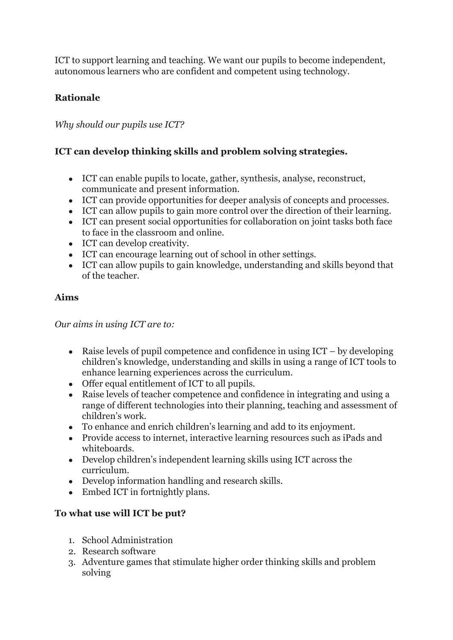ICT to support learning and teaching. We want our pupils to become independent, autonomous learners who are confident and competent using technology.

## **Rationale**

#### *Why should our pupils use ICT?*

### **ICT can develop thinking skills and problem solving strategies.**

- ICT can enable pupils to locate, gather, synthesis, analyse, reconstruct, communicate and present information.
- ICT can provide opportunities for deeper analysis of concepts and processes.
- ICT can allow pupils to gain more control over the direction of their learning.
- ICT can present social opportunities for collaboration on joint tasks both face to face in the classroom and online.
- ICT can develop creativity.
- ICT can encourage learning out of school in other settings.
- ICT can allow pupils to gain knowledge, understanding and skills beyond that of the teacher.

#### **Aims**

*Our aims in using ICT are to:*

- Raise levels of pupil competence and confidence in using  $ICT by developing$ children's knowledge, understanding and skills in using a range of ICT tools to enhance learning experiences across the curriculum.
- Offer equal entitlement of ICT to all pupils.
- Raise levels of teacher competence and confidence in integrating and using a range of different technologies into their planning, teaching and assessment of children's work.
- To enhance and enrich children's learning and add to its enjoyment.
- Provide access to internet, interactive learning resources such as iPads and whiteboards.
- Develop children's independent learning skills using ICT across the curriculum.
- Develop information handling and research skills.
- Embed ICT in fortnightly plans.

### **To what use will ICT be put?**

- 1. School Administration
- 2. Research software
- 3. Adventure games that stimulate higher order thinking skills and problem solving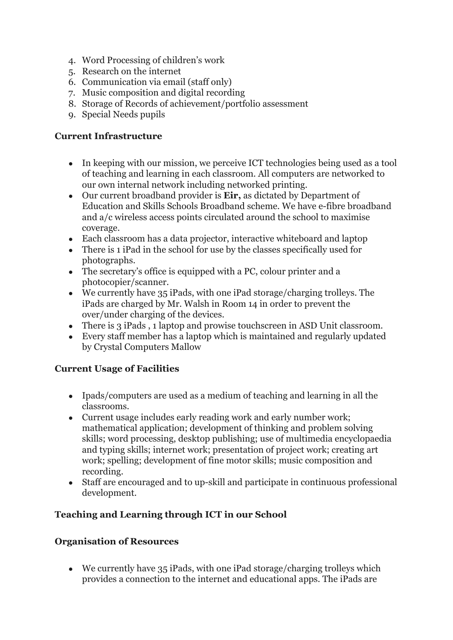- 4. Word Processing of children's work
- 5. Research on the internet
- 6. Communication via email (staff only)
- 7. Music composition and digital recording
- 8. Storage of Records of achievement/portfolio assessment
- 9. Special Needs pupils

#### **Current Infrastructure**

- In keeping with our mission, we perceive ICT technologies being used as a tool of teaching and learning in each classroom. All computers are networked to our own internal network including networked printing.
- Our current broadband provider is **Eir,** as dictated by Department of Education and Skills Schools Broadband scheme. We have e-fibre broadband and a/c wireless access points circulated around the school to maximise coverage.
- Each classroom has a data projector, interactive whiteboard and laptop
- There is 1 iPad in the school for use by the classes specifically used for photographs.
- The secretary's office is equipped with a PC, colour printer and a photocopier/scanner.
- We currently have 35 iPads, with one iPad storage/charging trolleys. The iPads are charged by Mr. Walsh in Room 14 in order to prevent the over/under charging of the devices.
- There is 3 iPads, 1 laptop and prowise touchscreen in ASD Unit classroom.
- Every staff member has a laptop which is maintained and regularly updated by Crystal Computers Mallow

### **Current Usage of Facilities**

- Ipads/computers are used as a medium of teaching and learning in all the classrooms.
- Current usage includes early reading work and early number work; mathematical application; development of thinking and problem solving skills; word processing, desktop publishing; use of multimedia encyclopaedia and typing skills; internet work; presentation of project work; creating art work; spelling; development of fine motor skills; music composition and recording.
- Staff are encouraged and to up-skill and participate in continuous professional development.

## **Teaching and Learning through ICT in our School**

### **Organisation of Resources**

• We currently have 35 iPads, with one iPad storage/charging trolleys which provides a connection to the internet and educational apps. The iPads are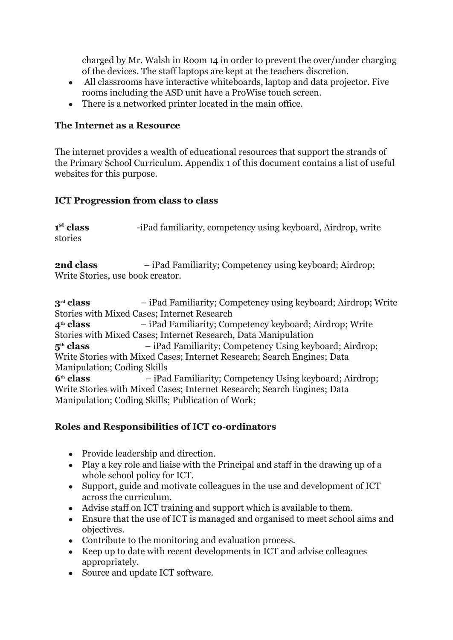charged by Mr. Walsh in Room 14 in order to prevent the over/under charging of the devices. The staff laptops are kept at the teachers discretion.

- All classrooms have interactive whiteboards, laptop and data projector. Five rooms including the ASD unit have a ProWise touch screen.
- There is a networked printer located in the main office.

#### **The Internet as a Resource**

The internet provides a wealth of educational resources that support the strands of the Primary School Curriculum. Appendix 1 of this document contains a list of useful websites for this purpose.

#### **ICT Progression from class to class**

| 1 <sup>st</sup> class | -iPad familiarity, competency using keyboard, Airdrop, write |
|-----------------------|--------------------------------------------------------------|
| stories               |                                                              |

**2nd class** – iPad Familiarity; Competency using keyboard; Airdrop; Write Stories, use book creator.

**3rd class** – iPad Familiarity; Competency using keyboard; Airdrop; Write Stories with Mixed Cases; Internet Research **4th class** – iPad Familiarity; Competency keyboard; Airdrop; Write Stories with Mixed Cases; Internet Research, Data Manipulation **5th class** – iPad Familiarity; Competency Using keyboard; Airdrop; Write Stories with Mixed Cases; Internet Research; Search Engines; Data Manipulation; Coding Skills **6th class** – iPad Familiarity; Competency Using keyboard; Airdrop; Write Stories with Mixed Cases; Internet Research; Search Engines; Data Manipulation; Coding Skills; Publication of Work;

### **Roles and Responsibilities of ICT co-ordinators**

- Provide leadership and direction.
- Play a key role and liaise with the Principal and staff in the drawing up of a whole school policy for ICT.
- Support, guide and motivate colleagues in the use and development of ICT across the curriculum.
- Advise staff on ICT training and support which is available to them.
- Ensure that the use of ICT is managed and organised to meet school aims and objectives.
- Contribute to the monitoring and evaluation process.
- Keep up to date with recent developments in ICT and advise colleagues appropriately.
- Source and update ICT software.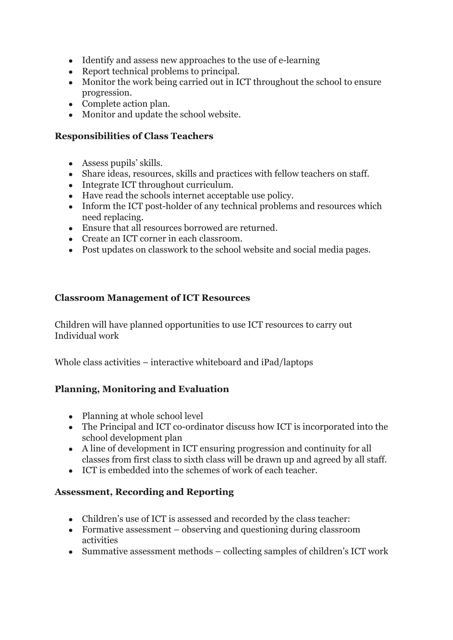- Identify and assess new approaches to the use of e-learning
- Report technical problems to principal.
- Monitor the work being carried out in ICT throughout the school to ensure progression.
- Complete action plan.
- Monitor and update the school website.

#### **Responsibilities of Class Teachers**

- Assess pupils' skills.
- Share ideas, resources, skills and practices with fellow teachers on staff.
- Integrate ICT throughout curriculum.
- Have read the schools internet acceptable use policy.
- Inform the ICT post-holder of any technical problems and resources which need replacing.
- Ensure that all resources borrowed are returned.
- Create an ICT corner in each classroom.
- Post updates on classwork to the school website and social media pages.

#### **Classroom Management of ICT Resources**

Children will have planned opportunities to use ICT resources to carry out Individual work

Whole class activities – interactive whiteboard and iPad/laptops

### **Planning, Monitoring and Evaluation**

- Planning at whole school level
- The Principal and ICT co-ordinator discuss how ICT is incorporated into the school development plan
- A line of development in ICT ensuring progression and continuity for all classes from first class to sixth class will be drawn up and agreed by all staff.
- ICT is embedded into the schemes of work of each teacher.

### **Assessment, Recording and Reporting**

- Children's use of ICT is assessed and recorded by the class teacher:
- Formative assessment  $-$  observing and questioning during classroom activities
- Summative assessment methods collecting samples of children's ICT work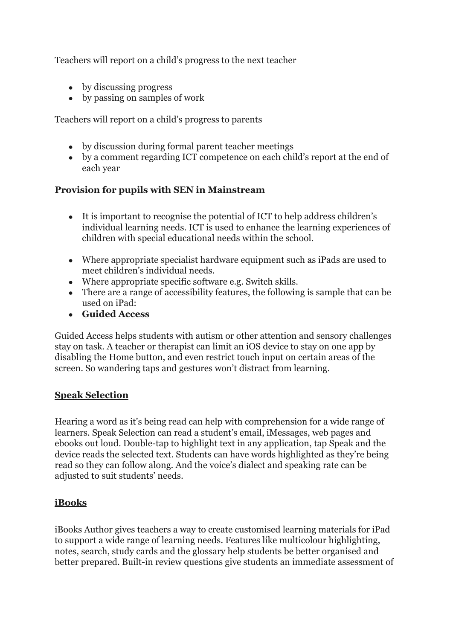Teachers will report on a child's progress to the next teacher

- by discussing progress
- by passing on samples of work

Teachers will report on a child's progress to parents

- by discussion during formal parent teacher meetings
- by a comment regarding ICT competence on each child's report at the end of each year

#### **Provision for pupils with SEN in Mainstream**

- It is important to recognise the potential of ICT to help address children's individual learning needs. ICT is used to enhance the learning experiences of children with special educational needs within the school.
- Where appropriate specialist hardware equipment such as iPads are used to meet children's individual needs.
- Where appropriate specific software e.g. Switch skills.
- There are a range of accessibility features, the following is sample that can be used on iPad:
- **Guided Access**

Guided Access helps students with autism or other attention and sensory challenges stay on task. A teacher or therapist can limit an iOS device to stay on one app by disabling the Home button, and even restrict touch input on certain areas of the screen. So wandering taps and gestures won't distract from learning.

### **Speak Selection**

Hearing a word as it's being read can help with comprehension for a wide range of learners. Speak Selection can read a student's email, iMessages, web pages and ebooks out loud. Double-tap to highlight text in any application, tap Speak and the device reads the selected text. Students can have words highlighted as they're being read so they can follow along. And the voice's dialect and speaking rate can be adjusted to suit students' needs.

### **iBooks**

iBooks Author gives teachers a way to create customised learning materials for iPad to support a wide range of learning needs. Features like multicolour highlighting, notes, search, study cards and the glossary help students be better organised and better prepared. Built-in review questions give students an immediate assessment of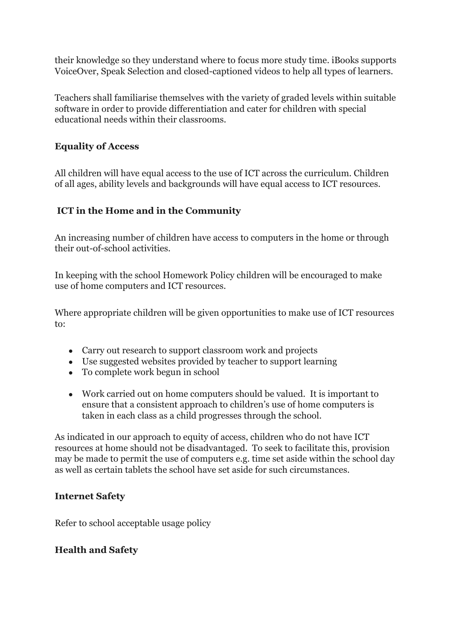their knowledge so they understand where to focus more study time. iBooks supports VoiceOver, Speak Selection and closed-captioned videos to help all types of learners.

Teachers shall familiarise themselves with the variety of graded levels within suitable software in order to provide differentiation and cater for children with special educational needs within their classrooms.

#### **Equality of Access**

All children will have equal access to the use of ICT across the curriculum. Children of all ages, ability levels and backgrounds will have equal access to ICT resources.

### **ICT in the Home and in the Community**

An increasing number of children have access to computers in the home or through their out-of-school activities.

In keeping with the school Homework Policy children will be encouraged to make use of home computers and ICT resources.

Where appropriate children will be given opportunities to make use of ICT resources to:

- Carry out research to support classroom work and projects
- Use suggested websites provided by teacher to support learning
- To complete work begun in school
- Work carried out on home computers should be valued. It is important to ensure that a consistent approach to children's use of home computers is taken in each class as a child progresses through the school.

As indicated in our approach to equity of access, children who do not have ICT resources at home should not be disadvantaged. To seek to facilitate this, provision may be made to permit the use of computers e.g. time set aside within the school day as well as certain tablets the school have set aside for such circumstances.

### **Internet Safety**

Refer to school acceptable usage policy

### **Health and Safety**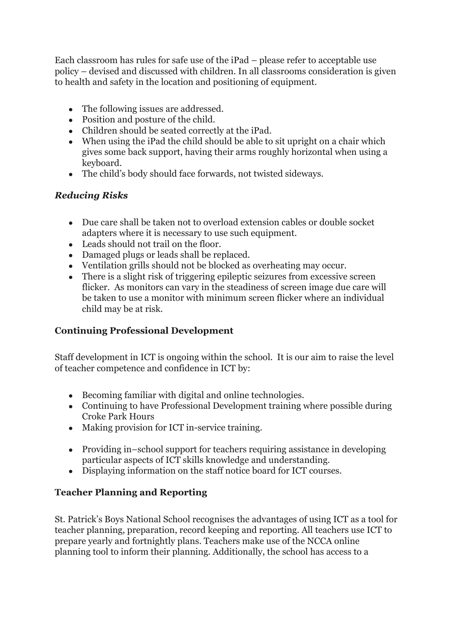Each classroom has rules for safe use of the iPad – please refer to acceptable use policy – devised and discussed with children. In all classrooms consideration is given to health and safety in the location and positioning of equipment.

- The following issues are addressed.
- Position and posture of the child.
- Children should be seated correctly at the iPad.
- $\bullet$  When using the iPad the child should be able to sit upright on a chair which gives some back support, having their arms roughly horizontal when using a keyboard.
- The child's body should face forwards, not twisted sideways.

### *Reducing Risks*

- Due care shall be taken not to overload extension cables or double socket adapters where it is necessary to use such equipment.
- Leads should not trail on the floor.
- Damaged plugs or leads shall be replaced.
- Ventilation grills should not be blocked as overheating may occur.
- There is a slight risk of triggering epileptic seizures from excessive screen flicker. As monitors can vary in the steadiness of screen image due care will be taken to use a monitor with minimum screen flicker where an individual child may be at risk.

### **Continuing Professional Development**

Staff development in ICT is ongoing within the school. It is our aim to raise the level of teacher competence and confidence in ICT by:

- Becoming familiar with digital and online technologies.
- Continuing to have Professional Development training where possible during Croke Park Hours
- Making provision for ICT in-service training.
- Providing in–school support for teachers requiring assistance in developing particular aspects of ICT skills knowledge and understanding.
- Displaying information on the staff notice board for ICT courses.

### **Teacher Planning and Reporting**

St. Patrick's Boys National School recognises the advantages of using ICT as a tool for teacher planning, preparation, record keeping and reporting. All teachers use ICT to prepare yearly and fortnightly plans. Teachers make use of the NCCA online planning tool to inform their planning. Additionally, the school has access to a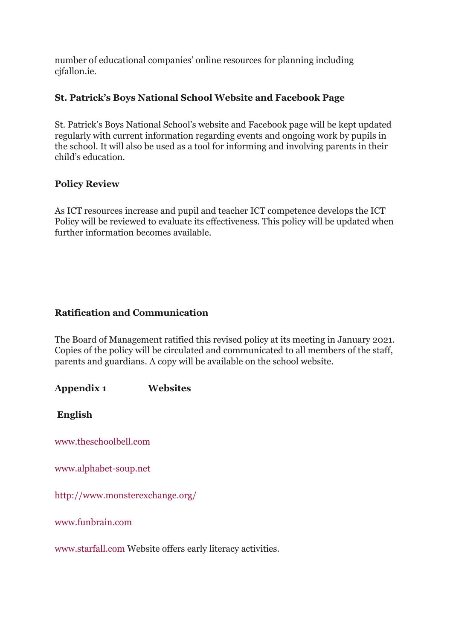number of educational companies' online resources for planning including cifallon.ie.

#### **St. Patrick's Boys National School Website and Facebook Page**

St. Patrick's Boys National School's website and Facebook page will be kept updated regularly with current information regarding events and ongoing work by pupils in the school. It will also be used as a tool for informing and involving parents in their child's education.

#### **Policy Review**

As ICT resources increase and pupil and teacher ICT competence develops the ICT Policy will be reviewed to evaluate its effectiveness. This policy will be updated when further information becomes available.

### **Ratification and Communication**

The Board of Management ratified this revised policy at its meeting in January 2021. Copies of the policy will be circulated and communicated to all members of the staff, parents and guardians. A copy will be available on the school website.

**Appendix 1 Websites**

**English**

[www.theschoolbell.com](http://www.theschoolbell.com/)

[www.alphabet-soup.net](http://www.alphabet-soup.net/)

<http://www.monsterexchange.org/>

[www.funbrain.com](http://www.funbrain.com/)

[www.starfall.com](http://www.starfall.com/) Website offers early literacy activities.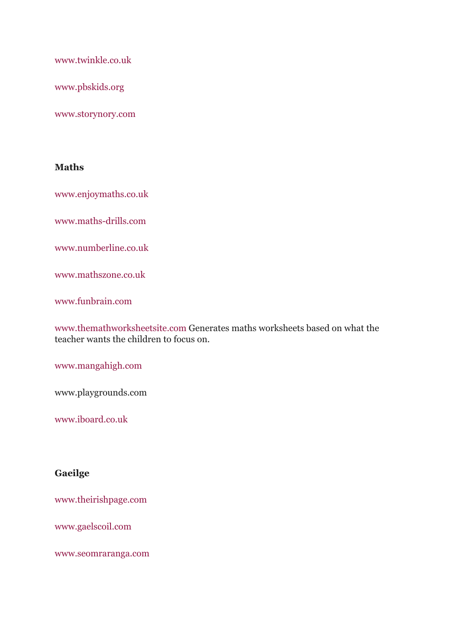[www.twinkle.co.uk](http://www.twinkle.co.uk/)

[www.pbskids.org](http://www.pbskids.org/)

[www.storynory.com](http://www.storynory.com/)

#### **Maths**

[www.enjoymaths.co.uk](http://www.enjoymaths.co.uk/)

[www.maths-drills.com](http://www.maths-drills.com/)

[www.numberline.co.uk](http://www.numberline.co.uk/)

[www.mathszone.co.uk](http://www.mathszone.co.uk/)

[www.funbrain.com](http://www.funbrain.com/)

[www.themathworksheetsite.com](http://www.themathworksheetsite.com/) Generates maths worksheets based on what the teacher wants the children to focus on.

[www.mangahigh.com](https://www.mangahigh.com/)

www.playgrounds.com

[www.iboard.co.uk](http://www.iboard.co.uk/)

#### **Gaeilge**

[www.theirishpage.com](http://www.theirishpage.com/)

[www.gaelscoil.com](http://www.gaelscoil.com/)

[www.seomraranga.com](http://www.seomraranga.com/)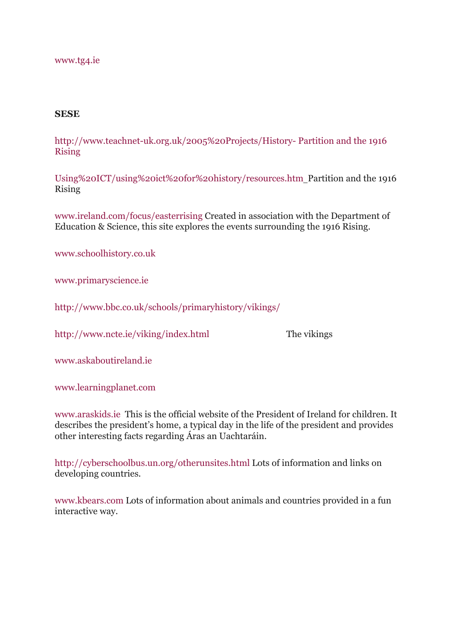#### [www.tg4.ie](http://www.tg4.ie/)

#### **SESE**

[http://www.teachnet-uk.org.uk/2005%20Projects/History- Partition and the 1916](http://www.teachnet-uk.org.uk/2005%20Projects/History-%20%20Partition%20and%20the%201916%20Rising%0dUsing%20ICT/using%20ict%20for%20history/resources.htm) [Rising](http://www.teachnet-uk.org.uk/2005%20Projects/History-%20%20Partition%20and%20the%201916%20Rising%0dUsing%20ICT/using%20ict%20for%20history/resources.htm)

[Using%20ICT/using%20ict%20for%20history/resources.htm](http://www.teachnet-uk.org.uk/2005%20Projects/History-%20%20Partition%20and%20the%201916%20Rising%0dUsing%20ICT/using%20ict%20for%20history/resources.htm) Partition and the 1916 Rising

[www.ireland.com/focus/easterrising](http://www.ireland.com/focus/easterrising) Created in association with the Department of Education & Science, this site explores the events surrounding the 1916 Rising.

[www.schoolhistory.co.uk](http://www.schoolhistory.co.uk/)

[www.primaryscience.ie](http://www.promaryscience.ie/)

[http://www.bbc.co.uk/schools/primaryhistory/vikings/](https://www.bbc.co.uk/schools/primaryhistory/vikings/)

<http://www.ncte.ie/viking/index.html> The vikings

[www.askaboutireland.ie](http://www.askaboutireland.ie/)

[www.learningplanet.com](http://www.learningplanet.com/)

[www.araskids.ie](http://www.araskids.ie/) This is the official website of the President of Ireland for children. It describes the president's home, a typical day in the life of the president and provides other interesting facts regarding Áras an Uachtaráin.

<http://cyberschoolbus.un.org/otherunsites.html> Lots of information and links on developing countries.

[www.kbears.com](http://www.kbears.com/) Lots of information about animals and countries provided in a fun interactive way.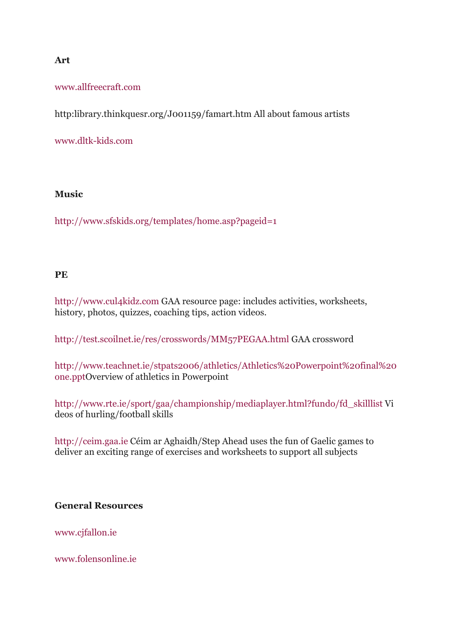#### **Art**

[www.allfreecraft.com](http://www.allfreecraft.com/)

http:library.thinkquesr.org/J001159/famart.htm All about famous artists

[www.dltk-kids.com](http://www.dltk-kids.com/)

#### **Music**

<http://www.sfskids.org/templates/home.asp?pageid=1>

### **PE**

[http://www.cul4kidz.com](http://www.cul4kidz.com/) GAA resource page: includes activities, worksheets, history, photos, quizzes, coaching tips, action videos.

<http://test.scoilnet.ie/res/crosswords/MM57PEGAA.html> GAA crossword

[http://www.teachnet.ie/stpats2006/athletics/Athletics%20Powerpoint%20final%20](http://www.teachnet.ie/stpats2006/athletics/Athletics%20Powerpoint%20final%20one.ppt) [one.ppt](http://www.teachnet.ie/stpats2006/athletics/Athletics%20Powerpoint%20final%20one.ppt)Overview of athletics in Powerpoint

[http://www.rte.ie/sport/gaa/championship/mediaplayer.html?fundo/fd\\_skilllist](https://www.rte.ie/sport/gaa/championship/mediaplayer.html?fundo/fd_skilllist) Vi deos of hurling/football skills

[http://ceim.gaa.ie](http://ceim.gaa.ie/) Céim ar Aghaidh/Step Ahead uses the fun of Gaelic games to deliver an exciting range of exercises and worksheets to support all subjects

### **General Resources**

[www.cjfallon.ie](http://www.cjfallon.ie/)

[www.folensonline.ie](http://www.folensonline.ie/)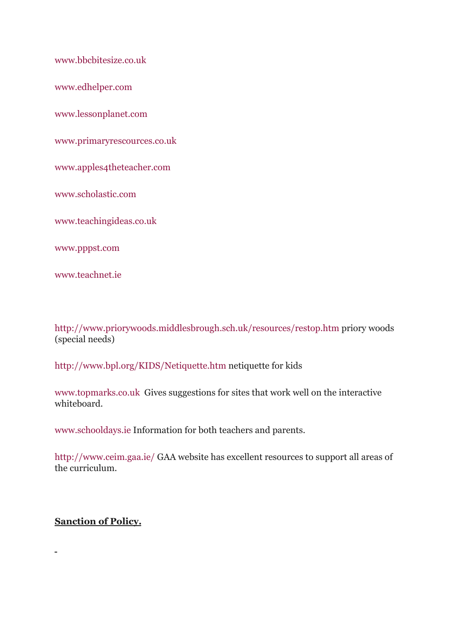[www.bbcbitesize.co.uk](http://www.bbcbitesize.co.uk/)

[www.edhelper.com](http://www.edhelper.com/)

[www.lessonplanet.com](http://www.lessonplanet.com/)

[www.primaryrescources.co.uk](http://www.primaryrescources.co.uk/)

[www.apples4theteacher.com](http://www.apples4theteacher.com/)

[www.scholastic.com](http://www.scholastic.com/)

[www.teachingideas.co.uk](http://www.teachingideas.co.uk/)

[www.pppst.com](http://www.pppst.com/)

[www.teachnet.ie](http://www.teachnet.ie/)

<http://www.priorywoods.middlesbrough.sch.uk/resources/restop.htm> priory woods (special needs)

<http://www.bpl.org/KIDS/Netiquette.htm> netiquette for kids

[www.topmarks.co.uk](http://www.topmarks.co.uk/) Gives suggestions for sites that work well on the interactive whiteboard.

[www.schooldays.ie](http://www.schooldays.ie/) Information for both teachers and parents.

<http://www.ceim.gaa.ie/> GAA website has excellent resources to support all areas of the curriculum.

#### **Sanction of Policy.**

 $\overline{a}$